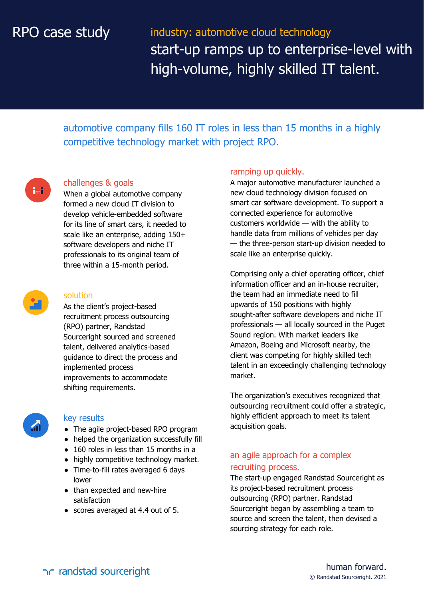# RPO case study

industry: automotive cloud technology start-up ramps up to enterprise-level with high-volume, highly skilled IT talent.

automotive company fills 160 IT roles in less than 15 months in a highly competitive technology market with project RPO.



#### challenges & goals

When a global automotive company formed a new cloud IT division to develop vehicle-embedded software for its line of smart cars, it needed to scale like an enterprise, adding 150+ software developers and niche IT professionals to its original team of three within a 15-month period.



#### solution

As the client's project-based recruitment process outsourcing (RPO) partner, Randstad Sourceright sourced and screened talent, delivered analytics-based guidance to direct the process and implemented process improvements to accommodate shifting requirements.



#### key results

- The agile project-based RPO program
- helped the organization successfully fill
- 160 roles in less than 15 months in a
- highly competitive technology market.
- Time-to-fill rates averaged 6 days lower
- than expected and new-hire satisfaction
- scores averaged at 4.4 out of 5.

#### ramping up quickly.

A major automotive manufacturer launched a new cloud technology division focused on smart car software development. To support a connected experience for automotive customers worldwide — with the ability to handle data from millions of vehicles per day — the three-person start-up division needed to scale like an enterprise quickly.

Comprising only a chief operating officer, chief information officer and an in-house recruiter, the team had an immediate need to fill upwards of 150 positions with highly sought-after software developers and niche IT professionals — all locally sourced in the Puget Sound region. With market leaders like Amazon, Boeing and Microsoft nearby, the client was competing for highly skilled tech talent in an exceedingly challenging technology market.

The organization's executives recognized that outsourcing recruitment could offer a strategic, highly efficient approach to meet its talent acquisition goals.

### an agile approach for a complex recruiting process.

The start-up engaged Randstad Sourceright as its project-based recruitment process outsourcing (RPO) partner. Randstad Sourceright began by assembling a team to source and screen the talent, then devised a sourcing strategy for each role.